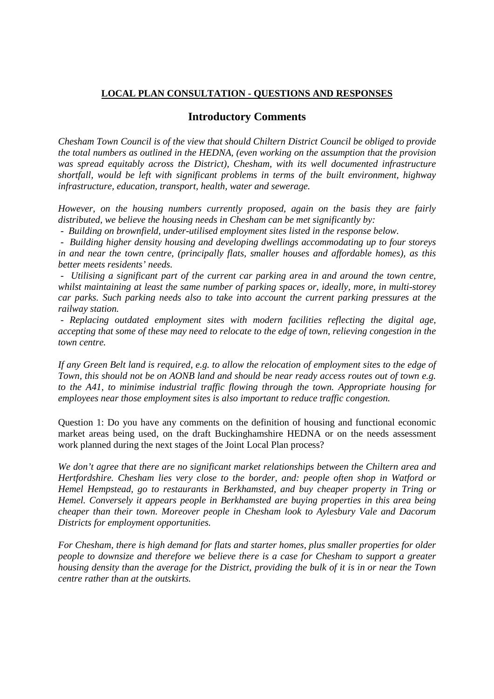## **LOCAL PLAN CONSULTATION - QUESTIONS AND RESPONSES**

## **Introductory Comments**

*Chesham Town Council is of the view that should Chiltern District Council be obliged to provide the total numbers as outlined in the HEDNA, (even working on the assumption that the provision was spread equitably across the District), Chesham, with its well documented infrastructure shortfall, would be left with significant problems in terms of the built environment, highway infrastructure, education, transport, health, water and sewerage.*

*However, on the housing numbers currently proposed, again on the basis they are fairly distributed, we believe the housing needs in Chesham canbe met significantly by:*

*- Building on brownfield, under-utilised employment sites listed in the response below.*

*- Building higher density housing and developing dwellings accommodating up to four storeys in and near the town centre, (principally flats, smaller houses and affordable homes), as this better meets residents' needs.*

*- Utilising a significant part of the current car parking area in and around the town centre, whilst maintaining at least the same number of parking spaces or, ideally, more, in multi-storey car parks. Such parking needs also to take into account the current parking pressures at the railway station.*

*- Replacing outdated employment sites with modern facilities reflecting the digital age, accepting that some of these may need to relocate to the edge of town, relieving congestion in the town centre.*

If any Green Belt land is required, e.g. to allow the relocation of employment sites to the edge of Town, this should not be on AONB land and should be near ready access routes out of town e.g. *to the A41, to minimise industrial traffic flowing through the town. Appropriate housing for employees near those employment sites is also important to reduce traffic congestion.*

Question 1: Do you have any comments on the definition of housing and functional economic market areas being used, on the draft Buckinghamshire HEDNA or on the needs assessment work planned during the next stages of the Joint Local Plan process?

*We don't agree that there are no significant market relationships between the Chiltern area and Hertfordshire. Chesham lies very close to the border, and: people often shop in Watford or Hemel Hempstead, go to restaurants in Berkhamsted, and buy cheaper property in Tring or Hemel. Conversely it appears people in Berkhamsted are buying properties in this area being cheaper than their town. Moreover people in Chesham lookto Aylesbury Vale and Dacorum Districts for employment opportunities.*

*For Chesham, there is high demand for flats and starter homes, plus smaller properties for older people to downsize and therefore we believe there is a case for Chesham to support a greater* housing density than the average for the District, providing the bulk of it is in or near the Town *centre rather than at the outskirts.*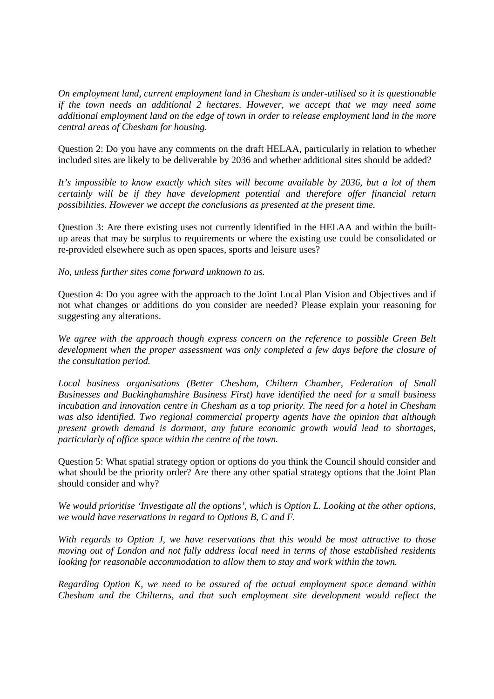*On employment land, current employment land in Chesham is under-utilised so it is questionable if the town needs an additional 2 hectares. However, we accept that we may need some additional employment land on the edge of town in order to release employment land in the more central areas of Chesham for housing.*

Question 2: Do you have any comments on the draft HELAA, particularly in relation to whether included sites are likely to be deliverable by 2036 and whether additional sites should be added?

*It's impossible to know exactly which sites will become available by 2036, but a lot of them certainly will be if they have development potential and therefore offer financial return possibilities. However we accept the conclusions as presented at the present time.*

Question 3: Are there existing uses not currently identified in the HELAA and within the built up areas that may be surplus to requirements or where the existing use could be consolidated or re-provided elsewhere such as open spaces, sports and leisure uses?

*No, unless further sites come forward unknown to us.*

Question 4: Do you agree with the approach to the Joint Local Plan Vision and Objectives and if not what changes or additions do you consider are needed? Please explain your reasoning for suggesting any alterations.

*We agree with the approach though express concern on the reference to possible Green Belt development when the proper assessment was only completed a few days before the closure of the consultation period.*

*Local business organisations (Better Chesham, Chiltern Chamber, Federation of Small Businesses and Buckinghamshire Business First) have identified the need for a small business incubation and innovation centre in Chesham as a top priority. The need for a hotel in Chesham was also identified. Two regional commercial property agents have the opinion that although present growth demand is dormant, any future economic growth would lead to shortages, particularly of office space within the centre of the town.*

Question 5: What spatial strategy option or options do you think the Council should consider and what should be the priority order? Are there any other spatial strategy options that the Joint Plan should consider and why?

*We would prioritise 'Investigate all the options', which is Option L. Looking at the other options, we would have reservations in regard to Options B, C and F.*

*With regards to Option J, we have reservations that this would be most attractive to those moving out of London and not fully address local need in terms of those established residents looking for reasonable accommodation to allow them to stay and work within the town.*

*Regarding Option K, we need to be assured of the actual employment space demand within Chesham and the Chilterns, and that such employment site development would reflect the*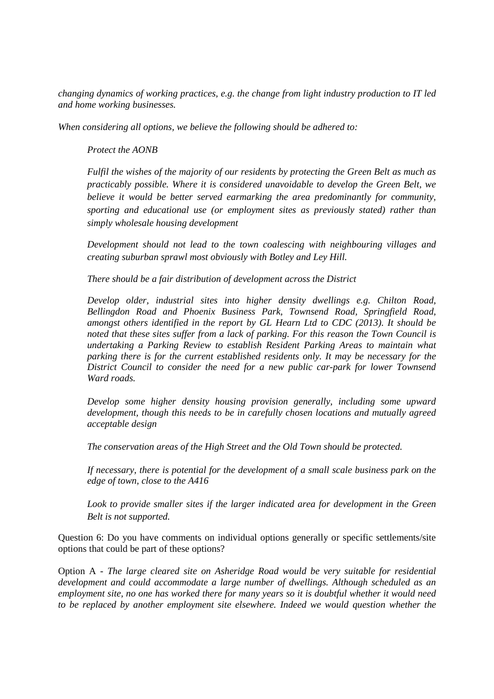*changing dynamics of working practices, e.g. the change from light industry production to IT led and home working businesses.*

*When considering all options, we believe the following should be adhered to:*

*Protect the AONB*

*Fulfil the wishes of the majority of our residents by protecting the Green Belt as much as practicably possible. Where it is considered unavoidable to develop the Green Belt, we believe it would be better served earmarking the area predominantly for community, sporting and educational use (or employment sites as previously stated) rather than simply wholesale housing development*

*Development should not lead to the town coalescing with neighbouring villages and creating suburban sprawl most obviously with Botley and Ley Hill.*

*There should be a fair distribution of development across the District*

*Develop older, industrial sites into higher density dwellings e.g. Chilton Road, Bellingdon Road and Phoenix Business Park, Townsend Road, Springfield Road, amongst others identified in the report by GL Hearn Ltd to CDC (2013). It should be noted that these sites suffer from a lack of parking. For this reason the Town Council is undertaking a Parking Review toestablish Resident Parking Areas to maintain what parking there is for the current established residents only. It may be necessary for the District Council to consider the need for a new public car-park for lower Townsend Ward roads.*

*Develop some higher density housing provision generally, including some upward development, though this needs to be in carefully chosen locations and mutually agreed acceptable design*

*The conservation areas of the High Street and the Old Town should be protected.*

*If necessary, there is potential for the development of a small scale business park on the edge of town, close to the A416*

*Look to provide smaller sites ifthe larger indicated area for development in the Green Belt is not supported.*

Question 6: Do you have comments on individual options generally or specific settlements/site options that could be part of these options?

Option A - *The large cleared site on Asheridge Road would be very suitable for residential development and could accommodate a large number of dwellings. Although scheduled as an employment site, no one has worked there for many years so it is doubtful whether itwould need to be replaced by another employment site elsewhere. Indeed we would question whether the*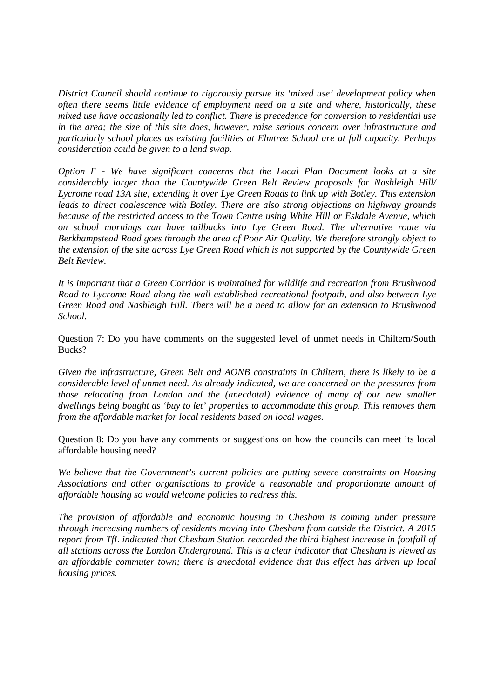*District Council should continue to rigorously pursue its 'mixed use' development policy when often there seems little evidence of employment need on a site and where, historically, these mixed use have occasionally led to conflict. There is precedence for conversion to residential use in the area; the size of this site does, however, raise serious concern over infrastructure and particularly school places as existing facilities at Elmtree School are at full capacity. Perhaps consideration could be given to a land swap.*

*Option F - We have significant concerns that the Local Plan Document looks at a site considerably larger than the Countywide Green Belt Review proposals for Nashleigh Hill/ Lycrome road 13A site, extending it over Lye Green Roads to link up with Botley. This extension leads to direct coalescence with Botley. There are also strong objections on highway grounds because of the restricted access to the Town Centre using White Hill or Eskdale Avenue, which on school mornings can have tailbacks into Lye Green Road. The alternative route via Berkhampstead Road goes through the area of Poor Air Quality. We therefore strongly object to the extension of the site across Lye Green Road which is not supported by the Countywide Green Belt Review.*

*It is important that a Green Corridor is maintained for wildlife and recreation from Brushwood Road to Lycrome Road along the wall established recreational footpath, and also between Lye Green Road and Nashleigh Hill. There will be a need to allow for an extension to Brushwood School.*

Question 7: Do you have comments on the suggested level of unmet needs in Chiltern/South Bucks?

*Given the infrastructure, Green Belt and AONB constraints in Chiltern, there is likely to be a considerable level of unmet need. As already indicated, we are concerned on the pressures from those relocating from London and the (anecdotal) evidence of many of our new smaller dwellings being bought as 'buy to let' properties to accommodate this group. This removes them from the affordable market for local residents based on local wages.*

Question 8: Do you have any comments or suggestions on how the councils can meet its local affordable housing need?

*We believe that the Government's current policies are putting severe constraints on Housing Associations and other organisations to provide a reasonable and proportionate amount of affordable housing so would welcome policies to redress this.*

*The provision of affordable and economic housing in Chesham is coming under pressure through increasing numbers of residents moving into Chesham from outside the District. A 2015 report from TfL indicated that Chesham Station recorded the third highest increase in footfall of all stations across the London Underground. This is a clear indicator that Chesham is viewed as an affordable commuter town; there is anecdotal evidence that this effect has driven up local housing prices.*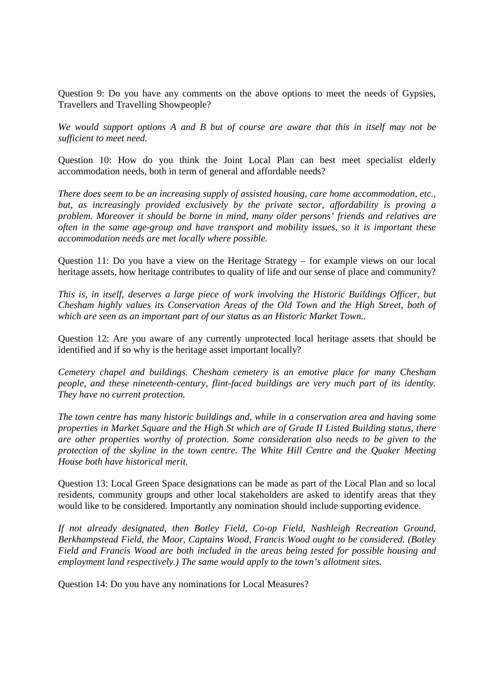Question 9: Do you have any comments on the above options to meet the needs of Gypsies, Travellers and Travelling Showpeople?

*We would support options A and B but of course are aware that this in itself may not be sufficient to meet need.*

Question 10: How do you think the Joint Local Plan can best meet specialist elderly accommodation needs, both in term of general and affordable needs?

*There does seem to be an increasing supply of assisted housing, care home accommodation, etc., but, as increasingly provided exclusively by the private sector, affordability is proving a problem. Moreover it should be borne in mind, many older persons' friends and relatives are often in the same age-group and have transport and mobility issues, so it is important these accommodation needs are met locally where possible.*

Question 11:Do you have a view on the Heritage Strategy – for example views on our local heritage assets, how heritage contributes to quality of life and our sense of place and community?

*This is, in itself, deserves a large piece of work involving the Historic Buildings Officer, but Chesham highly values its Conservation Areas of the Old Town and the High Street, both of which are seen as an important part of our status as an Historic Market Town..*

Question 12:Are you aware of any currently unprotected local heritage assets that should be identified and if so why is the heritage asset important locally?

*Cemetery chapel and buildings. Chesham cemetery is an emotive place for many Chesham people, and these nineteenth-century, flint-faced buildings are very much part of its identity. They have no current protection.*

*The town centre has many historic buildings and, while in a conservation area and having some properties in Market Square and the High St which are of Grade II Listed Building status, there*  $a$ re *other properties* worthy *of protection.* Some *consideration also needs* to be given to the *protection of the skyline in the town centre. The White Hill Centre and the Quaker Meeting House both have historical merit.*

Question 13: Local Green Space designations can be made as part of the Local Plan and so local residents, community groups and other local stakeholders are asked to identify areas that they would like to be considered. Importantly any nomination should include supporting evidence.

*If not already designated, then Botley Field, Co-op Field, Nashleigh Recreation Ground, Berkhampstead Field, the Moor, Captains Wood, Francis Wood ought to be considered. (Botley Field and Francis Wood are both included in the areas being tested for possible housing and employment land respectively.) The same would apply to the town's allotment sites.*

Question 14: Do you have any nominations for Local Measures?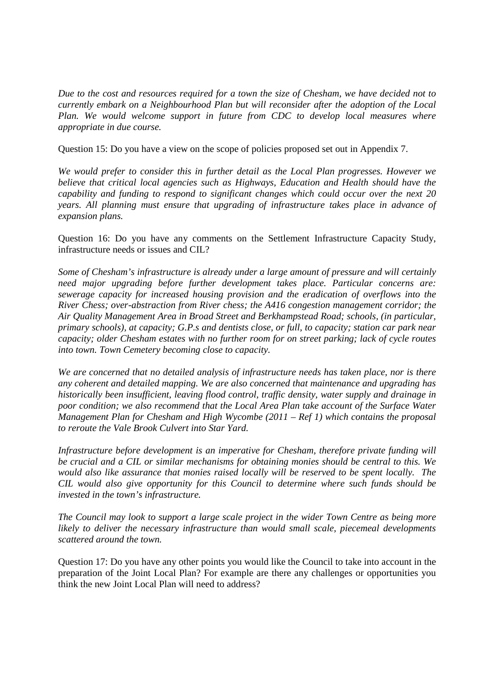Due to the cost and resources required for a town the size of Chesham, we have decided not to *currently embark on a Neighbourhood Plan butwill reconsider after the adoption of the Local Plan. We would welcome support in future from CDC to develop local measures where appropriate in due course.*

Question 15: Do you have a view on the scope of policies proposed set out in Appendix 7.

*We would prefer to consider this in further detail as the Local Plan progresses. However we believe that critical local agencies such as Highways, Education and Health should have the capability and funding to respond to significant changes which could occur over the next 20 years. All planning must ensure that upgrading of infrastructure takes place in advance of expansion plans.*

Question 16: Do you have any comments on the Settlement Infrastructure Capacity Study, infrastructure needs or issues and CIL?

*Some of Chesham's infrastructure is already under a large amount of pressure and will certainly need major upgrading before further development takes place. Particular concerns are: sewerage capacity for increased housing provision and the eradication of overflows into the River Chess; over-abstraction from River chess; the A416 congestion management corridor; the Air Quality Management Area in Broad Street and Berkhampstead Road; schools, (in particular, primary schools), at capacity; G.P.s and dentists close, or full, to capacity; station car park near capacity; older Chesham estates with no further room for on street parking; lack of cycle routes into town. Town Cemetery becoming close to capacity.*

*We are concerned that no detailed analysis of infrastructure needs has taken place, nor is there any coherent and detailed mapping. We are also concerned that maintenance and upgrading has historically been insufficient, leaving flood control, traffic density, water supply and drainage in poor condition; we also recommend that the Local Area Plan take account of the Surface Water Management Plan for Chesham and High Wycombe (2011 – Ref 1) which contains the proposal to reroute the Vale Brook Culvert into Star Yard.*

*Infrastructure before development is an imperative for Chesham, therefore private funding will be crucial and a CIL orsimilar mechanisms for obtaining monies should be central to this. We would also like assurance that monies raised locally will be reserved to be spent locally. The CIL would also give opportunity for this Council to determine where such funds should be invested in the town's infrastructure.*

*The Council may look to support a large scale project in the wider Town Centre as being more likely to deliver the necessary infrastructure than would small scale, piecemeal developments scattered around the town.*

Question 17: Do you have any other points you would like the Council to take into account in the preparation of the Joint Local Plan? For example are there any challenges or opportunities you think the new Joint Local Plan will need to address?